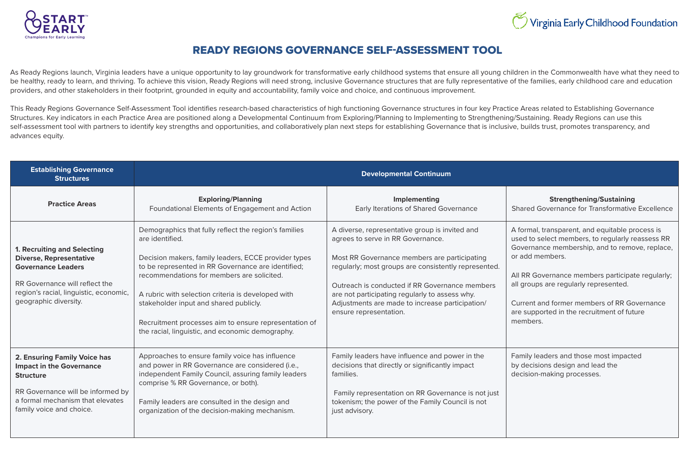

## READY REGIONS GOVERNANCE SELF-ASSESSMENT TOOL

As Ready Regions launch, Virginia leaders have a unique opportunity to lay groundwork for transformative early childhood systems that ensure all young children in the Commonwealth have what they need to be healthy, ready to learn, and thriving. To achieve this vision, Ready Regions will need strong, inclusive Governance structures that are fully representative of the families, early childhood care and education providers, and other stakeholders in their footprint, grounded in equity and accountability, family voice and choice, and continuous improvement.

This Ready Regions Governance Self-Assessment Tool identifies research-based characteristics of high functioning Governance structures in four key Practice Areas related to Establishing Governance Structures. Key indicators in each Practice Area are positioned along a Developmental Continuum from Exploring/Planning to Implementing to Strengthening/Sustaining. Ready Regions can use this self-assessment tool with partners to identify key strengths and opportunities, and collaboratively plan next steps for establishing Governance that is inclusive, builds trust, promotes transparency, and advances equity.

## **Strengthening/Sustaining**

Shared Governance for Transformative Excellence

| <b>Establishing Governance</b><br><b>Structures</b>                                                                                                                                                    | <b>Developmental Continuum</b>                                                                                                                                                                                                                                                                                                                                                                                                                    |                                                                                                                                                                                                                                                                                                                                                                              |
|--------------------------------------------------------------------------------------------------------------------------------------------------------------------------------------------------------|---------------------------------------------------------------------------------------------------------------------------------------------------------------------------------------------------------------------------------------------------------------------------------------------------------------------------------------------------------------------------------------------------------------------------------------------------|------------------------------------------------------------------------------------------------------------------------------------------------------------------------------------------------------------------------------------------------------------------------------------------------------------------------------------------------------------------------------|
| <b>Practice Areas</b>                                                                                                                                                                                  | <b>Exploring/Planning</b><br>Foundational Elements of Engagement and Action                                                                                                                                                                                                                                                                                                                                                                       | Implementing<br>Early Iterations of Shared Governance                                                                                                                                                                                                                                                                                                                        |
| <b>1. Recruiting and Selecting</b><br><b>Diverse, Representative</b><br><b>Governance Leaders</b><br>RR Governance will reflect the<br>region's racial, linguistic, economic,<br>geographic diversity. | Demographics that fully reflect the region's families<br>are identified.<br>Decision makers, family leaders, ECCE provider types<br>to be represented in RR Governance are identified;<br>recommendations for members are solicited.<br>A rubric with selection criteria is developed with<br>stakeholder input and shared publicly.<br>Recruitment processes aim to ensure representation of<br>the racial, linguistic, and economic demography. | A diverse, representative group is invited and<br>agrees to serve in RR Governance.<br>Most RR Governance members are participating<br>regularly; most groups are consistently represented.<br>Outreach is conducted if RR Governance members<br>are not participating regularly to assess why.<br>Adjustments are made to increase participation/<br>ensure representation. |
| 2. Ensuring Family Voice has<br><b>Impact in the Governance</b><br><b>Structure</b><br>RR Governance will be informed by<br>a formal mechanism that elevates<br>family voice and choice.               | Approaches to ensure family voice has influence<br>and power in RR Governance are considered (i.e.,<br>independent Family Council, assuring family leaders<br>comprise % RR Governance, or both).<br>Family leaders are consulted in the design and<br>organization of the decision-making mechanism.                                                                                                                                             | Family leaders have influence and power in the<br>decisions that directly or significantly impact<br>families.<br>Family representation on RR Governance is not just<br>tokenism; the power of the Family Council is not<br>just advisory.                                                                                                                                   |

## Virginia Early Childhood Foundation

A formal, transparent, and equitable process is used to select members, to regularly reassess RR Governance membership, and to remove, replace, or add members.

All RR Governance members participate regularly; all groups are regularly represented.

Current and former members of RR Governance are supported in the recruitment of future members.

Family leaders and those most impacted by decisions design and lead the decision-making processes.